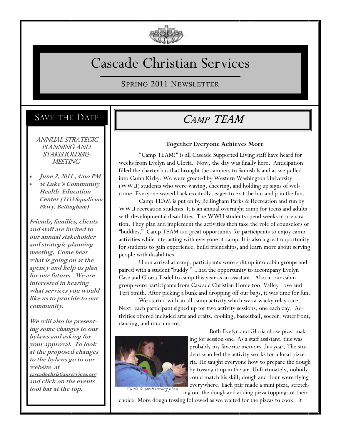

# Cascade Christian Services

SPRING 2011 NEWSLETTER

## SAVE THE DATE

 Annual Strategic PLANNING AND **STAKEHOLDERS** MEETING

- **June 2, 2011 , 4:oo PM**
- **St Luke's Community Health Education Center (3333 Squalicum Pkwy, Bellingham)**

**Friends, families, clients and staff are invited to our annual stakeholder and strategic planning meeting. Come hear what is going on at the agency and help us plan for our future. We are interested in hearing what services you would like us to provide to our community.**

**We will also be presenting some [changes to our](http://cascadechristianservices.org/document/dg7u720c36a)  [bylaws a](http://cascadechristianservices.org/document/dg7u720c36a)nd asking for your approval. To look at the proposed changes to the bylaws go to our website at cascadechristianservices.org and click on the events tool bar at the top.**

# CAMP TEAM

#### **Together Everyone Achieves More**

"Camp TEAM!" is all Cascade Supported Living staff have heard for weeks from Evelyn and Gloria. Now, the day was finally here. Anticipation filled the charter bus that brought the campers to Samish Island as we pulled into Camp Kirby. We were greeted by Western Washington University (WWU) students who were waving, cheering, and holding up signs of welcome. Everyone waved back excitedly, eager to exit the bus and join the fun.

Camp TEAM is put on by Bellingham Parks & Recreation and run by WWU recreation students. It is an annual overnight camp for teens and adults with developmental disabilities. The WWU students spend weeks in preparation. They plan and implement the activities then take the role of counselors or "buddies." Camp TEAM is a great opportunity for participants to enjoy camp activities while interacting with everyone at camp. It is also a great opportunity for students to gain experience, build friendships, and learn more about serving people with disabilities.

Upon arrival at camp, participants were split up into cabin groups and paired with a student "buddy." I had the opportunity to accompany Evelyn Case and Gloria Tisdel to camp this year as an assistant. Also in our cabin group were participants from Cascade Christian Home too, Valley Love and Teri Smith. After picking a bunk and dropping off our bags, it was time for fun.

We started with an all-camp activity which was a wacky relay race. Next, each participant signed up for two activity sessions, one each day. Activities offered included arts and crafts, cooking, basketball, soccer, waterfront, dancing, and much more.



Both Evelyn and Gloria chose pizza making for session one. As a staff assistant, this was probably my favorite memory this year. The student who led the activity works for a local pizzeria. He taught everyone how to prepare the dough by tossing it up in the air. Unfortunately, nobody could match his skill; dough and flour were flying everywhere. Each pair made a mini pizza, stretching out the dough and adding pizza toppings of their

Gloria & Sarah tossing pizza

choice. More dough tossing followed as we waited for the pizzas to cook. It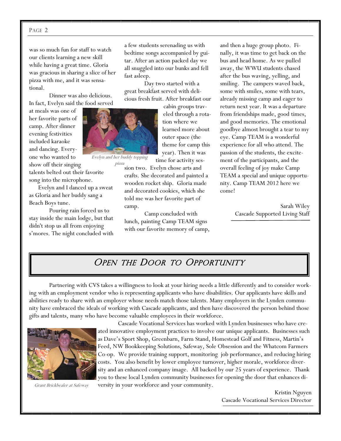#### PAGE 2

was so much fun for staff to watch our clients learning a new skill while having a great time. Gloria was gracious in sharing a slice of her pizza with me, and it was sensational.

Dinner was also delicious. In fact, Evelyn said the food served

at meals was one of her favorite parts of camp. After dinner evening festivities included karaoke and dancing. Everyone who wanted to show off their singing

talents belted out their favorite song into the microphone.

 Evelyn and I danced up a sweat as Gloria and her buddy sang a Beach Boys tune.

Pouring rain forced us to stay inside the main lodge, but that didn't stop us all from enjoying s'mores. The night concluded with a few students serenading us with bedtime songs accompanied by guitar. After an action packed day we all snuggled into our bunks and fell fast asleep.

Day two started with a great breakfast served with delicious fresh fruit. After breakfast our

> cabin groups traveled through a rotation where we learned more about outer space (the theme for camp this year). Then it was

time for activity ses-

Evelyn and her buddy topping pizza

sion two. Evelyn chose arts and crafts. She decorated and painted a wooden rocket ship. Gloria made and decorated cookies, which she told me was her favorite part of camp.

Camp concluded with lunch, painting Camp TEAM signs with our favorite memory of camp, and then a huge group photo. Finally, it was time to get back on the bus and head home. As we pulled away, the WWU students chased after the bus waving, yelling, and smiling. The campers waved back, some with smiles, some with tears, already missing camp and eager to return next year. It was a departure from friendships made, good times, and good memories. The emotional goodbye almost brought a tear to my eye. Camp TEAM is a wonderful experience for all who attend. The passion of the students, the excitement of the participants, and the overall feeling of joy make Camp TEAM a special and unique opportunity. Camp TEAM 2012 here we come!

> Sarah Wiley Cascade Supported Living Staff

### OPEN THE DOOR TO OPPORTUNITY

Partnering with CVS takes a willingness to look at your hiring needs a little differently and to consider working with an employment vendor who is representing applicants who have disabilities. Our applicants have skills and abilities ready to share with an employer whose needs match those talents. Many employers in the Lynden community have embraced the ideals of working with Cascade applicants, and then have discovered the person behind those gifts and talents, many who have become valuable employees in their workforce.



Grant Brickbealer at Safeway

Cascade Vocational Services has worked with Lynden businesses who have created innovative employment practices to involve our unique applicants. Businesses such as Dave's Sport Shop, Greenbarn, Farm Stand, Homestead Golf and Fitness, Martin's Feed, NW Bookkeeping Solutions, Safeway, Sole Obsession and the Whatcom Farmers Co-op. We provide training support, monitoring job performance, and reducing hiring costs. You also benefit by lower employee turnover, higher morale, workforce diversity and an enhanced company image. All backed by our 25 years of experience. Thank you to these local Lynden community businesses for opening the door that enhances diversity in your workforce and your community.

> Kristin Nguyen Cascade Vocational Services Director

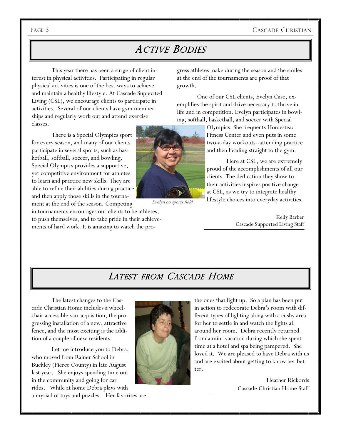#### PAGE 3 CASCADE CHRISTIAN

## ACTIVE BODIES

This year there has been a surge of client interest in physical activities. Participating in regular physical activities is one of the best ways to achieve and maintain a healthy lifestyle. At Cascade Supported Living (CSL), we encourage clients to participate in activities. Several of our clients have gym memberships and regularly work out and attend exercise classes.

There is a Special Olympics sport for every season, and many of our clients participate in several sports, such as basketball, softball, soccer, and bowling. Special Olympics provides a supportive, yet competitive environment for athletes to learn and practice new skills. They are able to refine their abilities during practice and then apply those skills in the tournament at the end of the season. Competing

in tournaments encourages our clients to be athletes, to push themselves, and to take pride in their achievements of hard work. It is amazing to watch the progress athletes make during the season and the smiles at the end of the tournaments are proof of that growth.

One of our CSL clients, Evelyn Case, exemplifies the spirit and drive necessary to thrive in life and in competition. Evelyn participates in bowling, softball, basketball, and soccer with Special

> Olympics. She frequents Homestead Fitness Center and even puts in some two-a-day workouts--attending practice and then heading straight to the gym.

> Here at CSL, we are extremely proud of the accomplishments of all our clients. The dedication they show to their activities inspires positive change at CSL, as we try to integrate healthy lifestyle choices into everyday activities.

> > Kelly Barber Cascade Supported Living Staff

## LATEST FROM CASCADE HOME

The latest changes to the Cascade Christian Home includes a wheelchair accessible van acquisition, the progressing installation of a new, attractive fence, and the most exciting is the addition of a couple of new residents.

Let me introduce you to Debra, who moved from Rainer School in Buckley (Pierce County) in late August last year. She enjoys spending time out in the community and going for car rides. While at home Debra plays with

a myriad of toys and puzzles. Her favorites are



the ones that light up. So a plan has been put in action to redecorate Debra's room with different types of lighting along with a cushy area for her to settle in and watch the lights all around her room. Debra recently returned from a mini-vacation during which she spent time at a hotel and spa being pampered. She loved it. We are pleased to have Debra with us and are excited about getting to know her better.

> Heather Rickords Cascade Christian Home Staff



Evelyn on sports field